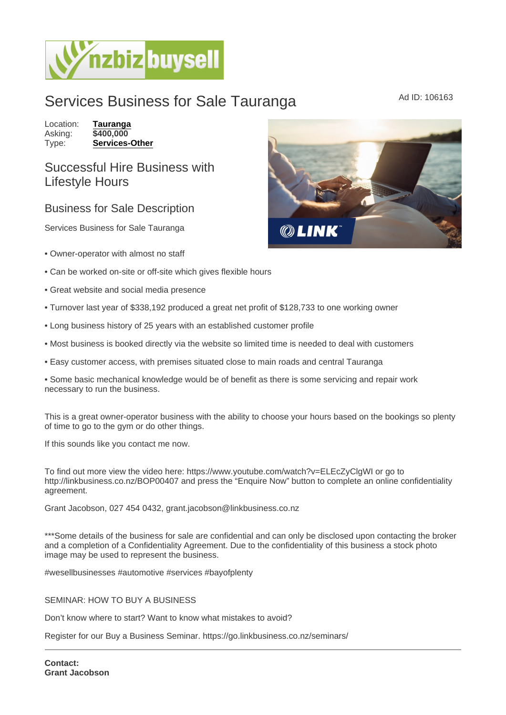## Services Business for Sale Tauranga MADI Ad ID: 106163

Location: [Tauranga](https://www.nzbizbuysell.co.nz/businesses-for-sale/location/Tauranga) Asking: \$400,000<br>Type: Services-[Services-Other](https://www.nzbizbuysell.co.nz/businesses-for-sale/Services/New-Zealand)

## Successful Hire Business with Lifestyle Hours

## Business for Sale Description

Services Business for Sale Tauranga

- Owner-operator with almost no staff
- Can be worked on-site or off-site which gives flexible hours
- Great website and social media presence
- Turnover last year of \$338,192 produced a great net profit of \$128,733 to one working owner
- Long business history of 25 years with an established customer profile
- Most business is booked directly via the website so limited time is needed to deal with customers
- Easy customer access, with premises situated close to main roads and central Tauranga

• Some basic mechanical knowledge would be of benefit as there is some servicing and repair work necessary to run the business.

This is a great owner-operator business with the ability to choose your hours based on the bookings so plenty of time to go to the gym or do other things.

If this sounds like you contact me now.

To find out more view the video here: https://www.youtube.com/watch?v=ELEcZyClgWI or go to http://linkbusiness.co.nz/BOP00407 and press the "Enquire Now" button to complete an online confidentiality agreement.

Grant Jacobson, 027 454 0432, grant.jacobson@linkbusiness.co.nz

\*\*\*Some details of the business for sale are confidential and can only be disclosed upon contacting the broker and a completion of a Confidentiality Agreement. Due to the confidentiality of this business a stock photo image may be used to represent the business.

#wesellbusinesses #automotive #services #bayofplenty

SEMINAR: HOW TO BUY A BUSINESS

Don't know where to start? Want to know what mistakes to avoid?

Register for our Buy a Business Seminar. https://go.linkbusiness.co.nz/seminars/